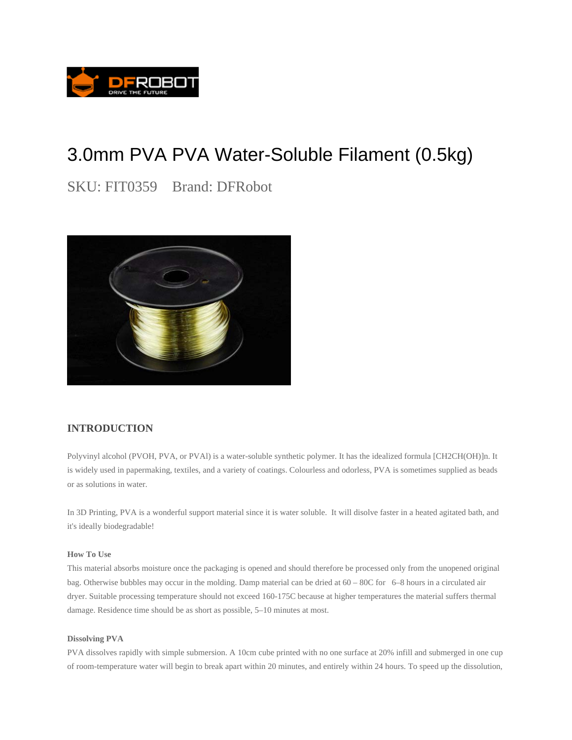

# 3.0mm PVA PVA Water-Soluble Filament (0.5kg)

SKU: FIT0359 Brand: DFRobot



## **INTRODUCTION**

Polyvinyl alcohol (PVOH, PVA, or PVAl) is a water-soluble synthetic polymer. It has the idealized formula [CH2CH(OH)]n. It is widely used in papermaking, textiles, and a variety of coatings. Colourless and odorless, PVA is sometimes supplied as beads or as solutions in water.

In 3D Printing, PVA is a wonderful support material since it is water soluble. It will disolve faster in a heated agitated bath, and it's ideally biodegradable!

### **How To Use**

This material absorbs moisture once the packaging is opened and should therefore be processed only from the unopened original bag. Otherwise bubbles may occur in the molding. Damp material can be dried at 60 – 80C for 6–8 hours in a circulated air dryer. Suitable processing temperature should not exceed 160-175C because at higher temperatures the material suffers thermal damage. Residence time should be as short as possible, 5–10 minutes at most.

#### **Dissolving PVA**

PVA dissolves rapidly with simple submersion. A 10cm cube printed with no one surface at 20% infill and submerged in one cup of room-temperature water will begin to break apart within 20 minutes, and entirely within 24 hours. To speed up the dissolution,